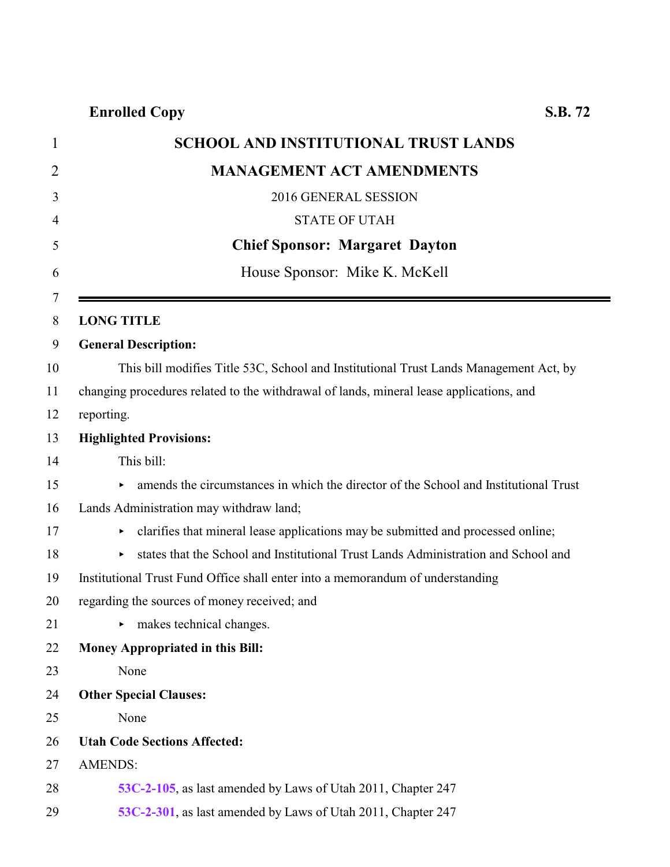| $\mathbf{1}$   | <b>SCHOOL AND INSTITUTIONAL TRUST LANDS</b>                                             |
|----------------|-----------------------------------------------------------------------------------------|
| $\overline{2}$ | <b>MANAGEMENT ACT AMENDMENTS</b>                                                        |
| 3              | 2016 GENERAL SESSION                                                                    |
| 4              | <b>STATE OF UTAH</b>                                                                    |
| 5              | <b>Chief Sponsor: Margaret Dayton</b>                                                   |
| 6              | House Sponsor: Mike K. McKell                                                           |
| 7              |                                                                                         |
| 8              | <b>LONG TITLE</b>                                                                       |
| 9              | <b>General Description:</b>                                                             |
| 10             | This bill modifies Title 53C, School and Institutional Trust Lands Management Act, by   |
| 11             | changing procedures related to the withdrawal of lands, mineral lease applications, and |
| 12             | reporting.                                                                              |
| 13             | <b>Highlighted Provisions:</b>                                                          |
| 14             | This bill:                                                                              |
| 15             | amends the circumstances in which the director of the School and Institutional Trust    |
| 16             | Lands Administration may withdraw land;                                                 |
| 17             | clarifies that mineral lease applications may be submitted and processed online;        |
| 18             | states that the School and Institutional Trust Lands Administration and School and      |
| 19             | Institutional Trust Fund Office shall enter into a memorandum of understanding          |
| 20             | regarding the sources of money received; and                                            |
| 21             | $\triangleright$ makes technical changes.                                               |
| 22             | <b>Money Appropriated in this Bill:</b>                                                 |
| 23             | None                                                                                    |
| 24             | <b>Other Special Clauses:</b>                                                           |
| 25             | None                                                                                    |
| 26             | <b>Utah Code Sections Affected:</b>                                                     |
| 27             | <b>AMENDS:</b>                                                                          |
| 28             | 53C-2-105, as last amended by Laws of Utah 2011, Chapter 247                            |
| 29             | 53C-2-301, as last amended by Laws of Utah 2011, Chapter 247                            |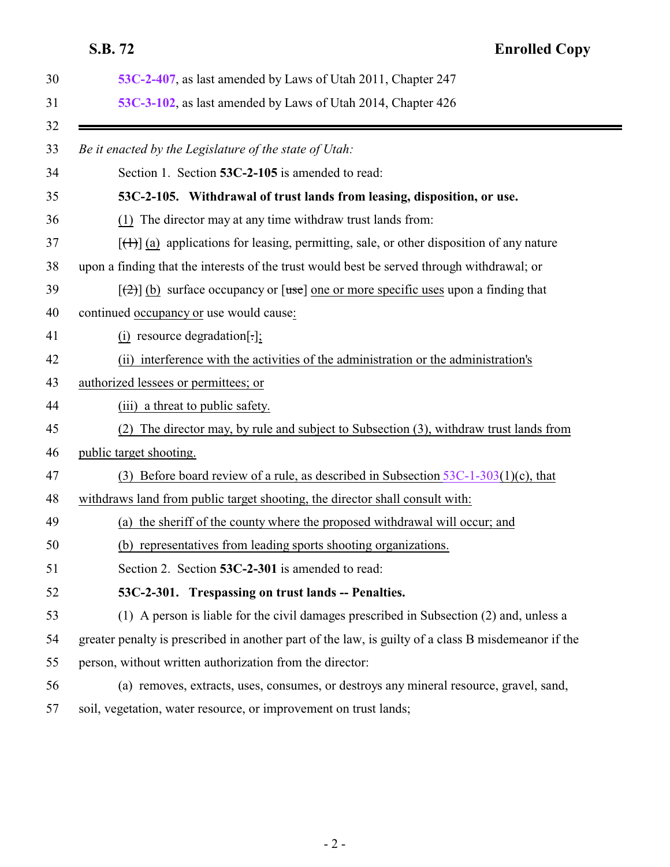## <span id="page-1-0"></span>**S.B. 72 Enrolled Copy**

<span id="page-1-1"></span>

| 53C-2-407, as last amended by Laws of Utah 2011, Chapter 247                                          |
|-------------------------------------------------------------------------------------------------------|
| 53C-3-102, as last amended by Laws of Utah 2014, Chapter 426                                          |
| Be it enacted by the Legislature of the state of Utah:                                                |
| Section 1. Section 53C-2-105 is amended to read:                                                      |
| 53C-2-105. Withdrawal of trust lands from leasing, disposition, or use.                               |
| (1) The director may at any time withdraw trust lands from:                                           |
| $[\text{(+)}]$ (a) applications for leasing, permitting, sale, or other disposition of any nature     |
| upon a finding that the interests of the trust would best be served through withdrawal; or            |
| $[\frac{1}{2}]$ (b) surface occupancy or $[\text{use}]$ one or more specific uses upon a finding that |
| continued occupancy or use would cause:                                                               |
| (i) resource degradation[ $\cdot$ ];                                                                  |
| (ii) interference with the activities of the administration or the administration's                   |
| authorized lessees or permittees; or                                                                  |
| (iii) a threat to public safety.                                                                      |
| The director may, by rule and subject to Subsection (3), withdraw trust lands from<br>(2)             |
| public target shooting.                                                                               |
| Before board review of a rule, as described in Subsection $53C-1-303(1)(c)$ , that<br>(3)             |
| withdraws land from public target shooting, the director shall consult with:                          |
| (a) the sheriff of the county where the proposed withdrawal will occur; and                           |
| (b) representatives from leading sports shooting organizations.                                       |
| Section 2. Section 53C-2-301 is amended to read:                                                      |
| 53C-2-301. Trespassing on trust lands -- Penalties.                                                   |
| (1) A person is liable for the civil damages prescribed in Subsection (2) and, unless a               |
| greater penalty is prescribed in another part of the law, is guilty of a class B misdemeanor if the   |
| person, without written authorization from the director:                                              |
| (a) removes, extracts, uses, consumes, or destroys any mineral resource, gravel, sand,                |
| soil, vegetation, water resource, or improvement on trust lands;                                      |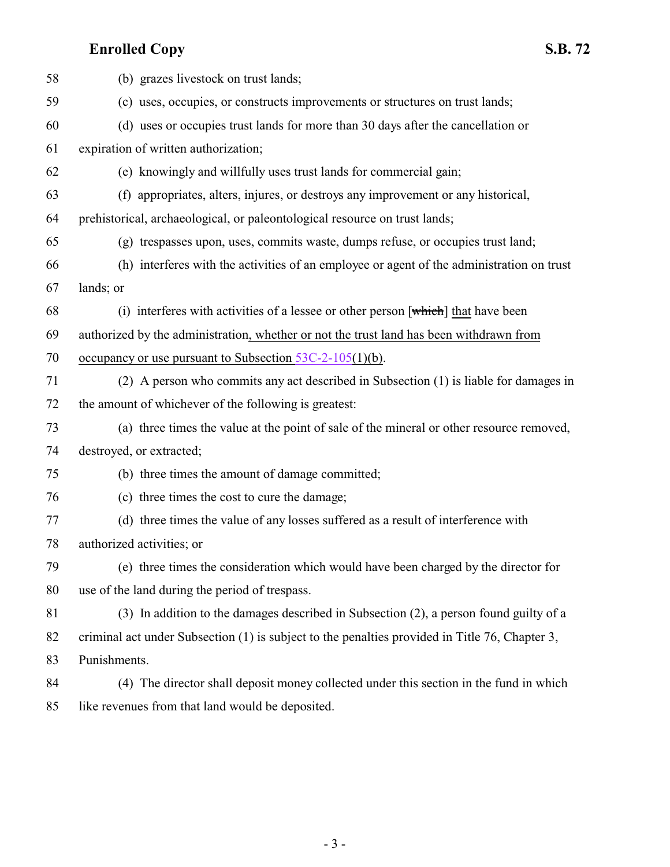## **Enrolled Copy S.B. 72**

| 58 | (b) grazes livestock on trust lands;                                                           |
|----|------------------------------------------------------------------------------------------------|
| 59 | (c) uses, occupies, or constructs improvements or structures on trust lands;                   |
| 60 | (d) uses or occupies trust lands for more than 30 days after the cancellation or               |
| 61 | expiration of written authorization;                                                           |
| 62 | (e) knowingly and willfully uses trust lands for commercial gain;                              |
| 63 | (f) appropriates, alters, injures, or destroys any improvement or any historical,              |
| 64 | prehistorical, archaeological, or paleontological resource on trust lands;                     |
| 65 | (g) trespasses upon, uses, commits waste, dumps refuse, or occupies trust land;                |
| 66 | (h) interferes with the activities of an employee or agent of the administration on trust      |
| 67 | lands; or                                                                                      |
| 68 | (i) interferes with activities of a lessee or other person [which] that have been              |
| 69 | authorized by the administration, whether or not the trust land has been withdrawn from        |
| 70 | occupancy or use pursuant to Subsection $53C-2-105(1)(b)$ .                                    |
| 71 | (2) A person who commits any act described in Subsection (1) is liable for damages in          |
| 72 | the amount of whichever of the following is greatest:                                          |
| 73 | (a) three times the value at the point of sale of the mineral or other resource removed,       |
| 74 | destroyed, or extracted;                                                                       |
| 75 | (b) three times the amount of damage committed;                                                |
| 76 | (c) three times the cost to cure the damage;                                                   |
| 77 | (d) three times the value of any losses suffered as a result of interference with              |
| 78 | authorized activities; or                                                                      |
| 79 | (e) three times the consideration which would have been charged by the director for            |
| 80 | use of the land during the period of trespass.                                                 |
| 81 | (3) In addition to the damages described in Subsection (2), a person found guilty of a         |
| 82 | criminal act under Subsection (1) is subject to the penalties provided in Title 76, Chapter 3, |
| 83 | Punishments.                                                                                   |
| 84 | (4) The director shall deposit money collected under this section in the fund in which         |
| 85 | like revenues from that land would be deposited.                                               |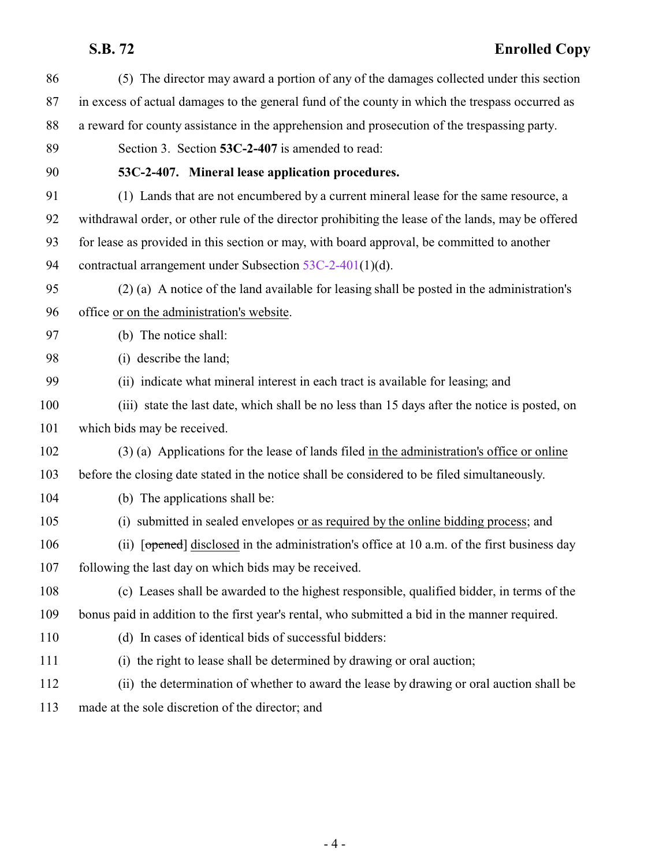# <span id="page-3-0"></span>**S.B. 72 Enrolled Copy**

| 86  | (5) The director may award a portion of any of the damages collected under this section            |
|-----|----------------------------------------------------------------------------------------------------|
| 87  | in excess of actual damages to the general fund of the county in which the trespass occurred as    |
| 88  | a reward for county assistance in the apprehension and prosecution of the trespassing party.       |
| 89  | Section 3. Section 53C-2-407 is amended to read:                                                   |
| 90  | 53C-2-407. Mineral lease application procedures.                                                   |
| 91  | (1) Lands that are not encumbered by a current mineral lease for the same resource, a              |
| 92  | withdrawal order, or other rule of the director prohibiting the lease of the lands, may be offered |
| 93  | for lease as provided in this section or may, with board approval, be committed to another         |
| 94  | contractual arrangement under Subsection $53C-2-401(1)(d)$ .                                       |
| 95  | (2) (a) A notice of the land available for leasing shall be posted in the administration's         |
| 96  | office or on the administration's website.                                                         |
| 97  | (b) The notice shall:                                                                              |
| 98  | (i) describe the land;                                                                             |
| 99  | (ii) indicate what mineral interest in each tract is available for leasing; and                    |
| 100 | (iii) state the last date, which shall be no less than 15 days after the notice is posted, on      |
| 101 | which bids may be received.                                                                        |
| 102 | $(3)$ (a) Applications for the lease of lands filed in the administration's office or online       |
| 103 | before the closing date stated in the notice shall be considered to be filed simultaneously.       |
| 104 | (b) The applications shall be:                                                                     |
| 105 | submitted in sealed envelopes or as required by the online bidding process; and<br>(i)             |
| 106 | (ii) [opened] disclosed in the administration's office at 10 a.m. of the first business day        |
| 107 | following the last day on which bids may be received.                                              |
| 108 | (c) Leases shall be awarded to the highest responsible, qualified bidder, in terms of the          |
| 109 | bonus paid in addition to the first year's rental, who submitted a bid in the manner required.     |
| 110 | (d) In cases of identical bids of successful bidders:                                              |
| 111 | (i) the right to lease shall be determined by drawing or oral auction;                             |
| 112 | (ii) the determination of whether to award the lease by drawing or oral auction shall be           |
| 113 | made at the sole discretion of the director; and                                                   |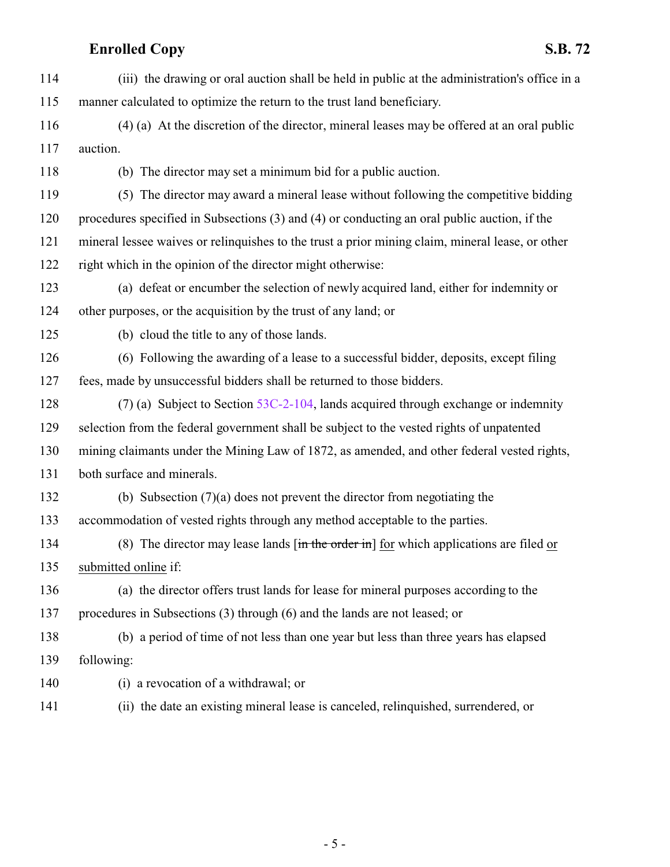# **Enrolled Copy S.B. 72**

| 114 | (iii) the drawing or oral auction shall be held in public at the administration's office in a                                |
|-----|------------------------------------------------------------------------------------------------------------------------------|
| 115 | manner calculated to optimize the return to the trust land beneficiary.                                                      |
| 116 | (4) (a) At the discretion of the director, mineral leases may be offered at an oral public                                   |
| 117 | auction.                                                                                                                     |
| 118 | (b) The director may set a minimum bid for a public auction.                                                                 |
| 119 | (5) The director may award a mineral lease without following the competitive bidding                                         |
| 120 | procedures specified in Subsections (3) and (4) or conducting an oral public auction, if the                                 |
| 121 | mineral lessee waives or relinquishes to the trust a prior mining claim, mineral lease, or other                             |
| 122 | right which in the opinion of the director might otherwise:                                                                  |
| 123 | (a) defeat or encumber the selection of newly acquired land, either for indemnity or                                         |
| 124 | other purposes, or the acquisition by the trust of any land; or                                                              |
| 125 | (b) cloud the title to any of those lands.                                                                                   |
| 126 | (6) Following the awarding of a lease to a successful bidder, deposits, except filing                                        |
| 127 | fees, made by unsuccessful bidders shall be returned to those bidders.                                                       |
| 128 | (7) (a) Subject to Section $53C-2-104$ , lands acquired through exchange or indemnity                                        |
| 129 | selection from the federal government shall be subject to the vested rights of unpatented                                    |
| 130 | mining claimants under the Mining Law of 1872, as amended, and other federal vested rights,                                  |
| 131 | both surface and minerals.                                                                                                   |
| 132 | (b) Subsection $(7)(a)$ does not prevent the director from negotiating the                                                   |
| 133 | accommodation of vested rights through any method acceptable to the parties.                                                 |
| 134 | (8) The director may lease lands $\left[\frac{\text{in the order in}}{\text{in}}\right]$ for which applications are filed or |
| 135 | submitted online if:                                                                                                         |
| 136 | (a) the director offers trust lands for lease for mineral purposes according to the                                          |
| 137 | procedures in Subsections (3) through (6) and the lands are not leased; or                                                   |
| 138 | (b) a period of time of not less than one year but less than three years has elapsed                                         |
| 139 | following:                                                                                                                   |
| 140 | a revocation of a withdrawal; or<br>(i)                                                                                      |
| 141 | the date an existing mineral lease is canceled, relinquished, surrendered, or<br>(ii)                                        |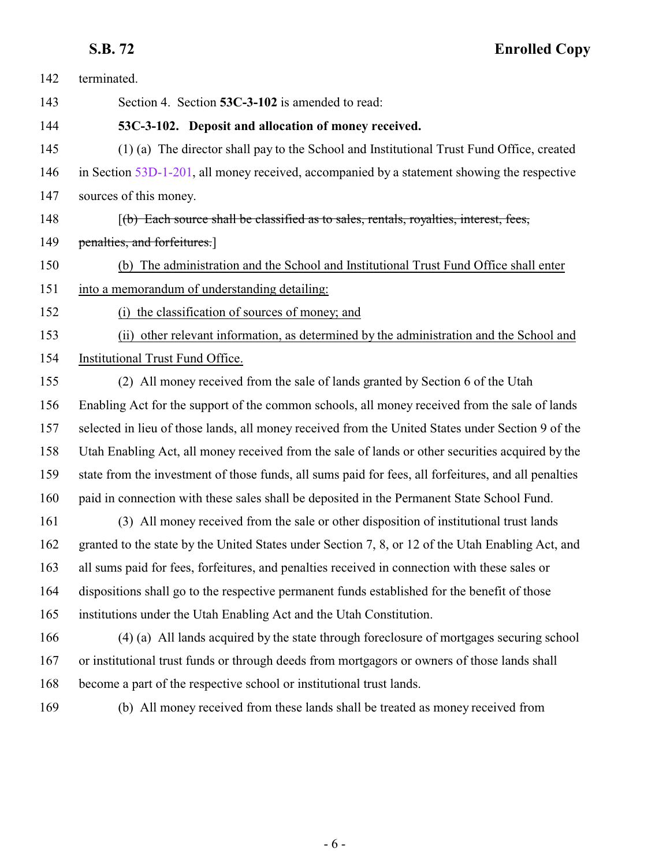<span id="page-5-0"></span>**S.B. 72 Enrolled Copy**

| 142 | terminated.                                                                                          |
|-----|------------------------------------------------------------------------------------------------------|
| 143 | Section 4. Section 53C-3-102 is amended to read:                                                     |
| 144 | 53C-3-102. Deposit and allocation of money received.                                                 |
| 145 | (1) (a) The director shall pay to the School and Institutional Trust Fund Office, created            |
| 146 | in Section 53D-1-201, all money received, accompanied by a statement showing the respective          |
| 147 | sources of this money.                                                                               |
| 148 | [(b) Each source shall be classified as to sales, rentals, royalties, interest, fees,                |
| 149 | penalties, and forfeitures.]                                                                         |
| 150 | (b) The administration and the School and Institutional Trust Fund Office shall enter                |
| 151 | into a memorandum of understanding detailing:                                                        |
| 152 | (i) the classification of sources of money; and                                                      |
| 153 | (ii) other relevant information, as determined by the administration and the School and              |
| 154 | Institutional Trust Fund Office.                                                                     |
| 155 | (2) All money received from the sale of lands granted by Section 6 of the Utah                       |
| 156 | Enabling Act for the support of the common schools, all money received from the sale of lands        |
| 157 | selected in lieu of those lands, all money received from the United States under Section 9 of the    |
| 158 | Utah Enabling Act, all money received from the sale of lands or other securities acquired by the     |
| 159 | state from the investment of those funds, all sums paid for fees, all forfeitures, and all penalties |
| 160 | paid in connection with these sales shall be deposited in the Permanent State School Fund.           |
| 161 | (3) All money received from the sale or other disposition of institutional trust lands               |
| 162 | granted to the state by the United States under Section 7, 8, or 12 of the Utah Enabling Act, and    |
| 163 | all sums paid for fees, forfeitures, and penalties received in connection with these sales or        |
| 164 | dispositions shall go to the respective permanent funds established for the benefit of those         |
| 165 | institutions under the Utah Enabling Act and the Utah Constitution.                                  |
| 166 | (4) (a) All lands acquired by the state through foreclosure of mortgages securing school             |
| 167 | or institutional trust funds or through deeds from mortgagors or owners of those lands shall         |
| 168 | become a part of the respective school or institutional trust lands.                                 |
|     |                                                                                                      |

(b) All money received from these lands shall be treated as money received from